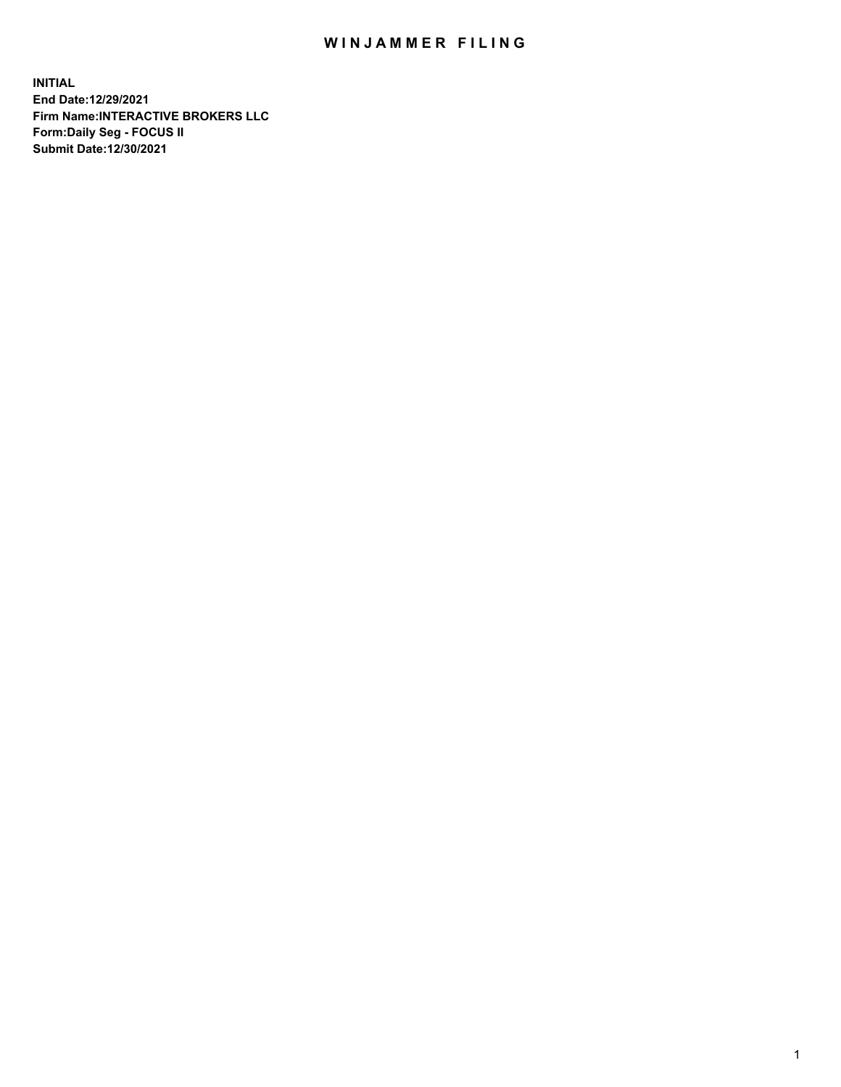## WIN JAMMER FILING

**INITIAL End Date:12/29/2021 Firm Name:INTERACTIVE BROKERS LLC Form:Daily Seg - FOCUS II Submit Date:12/30/2021**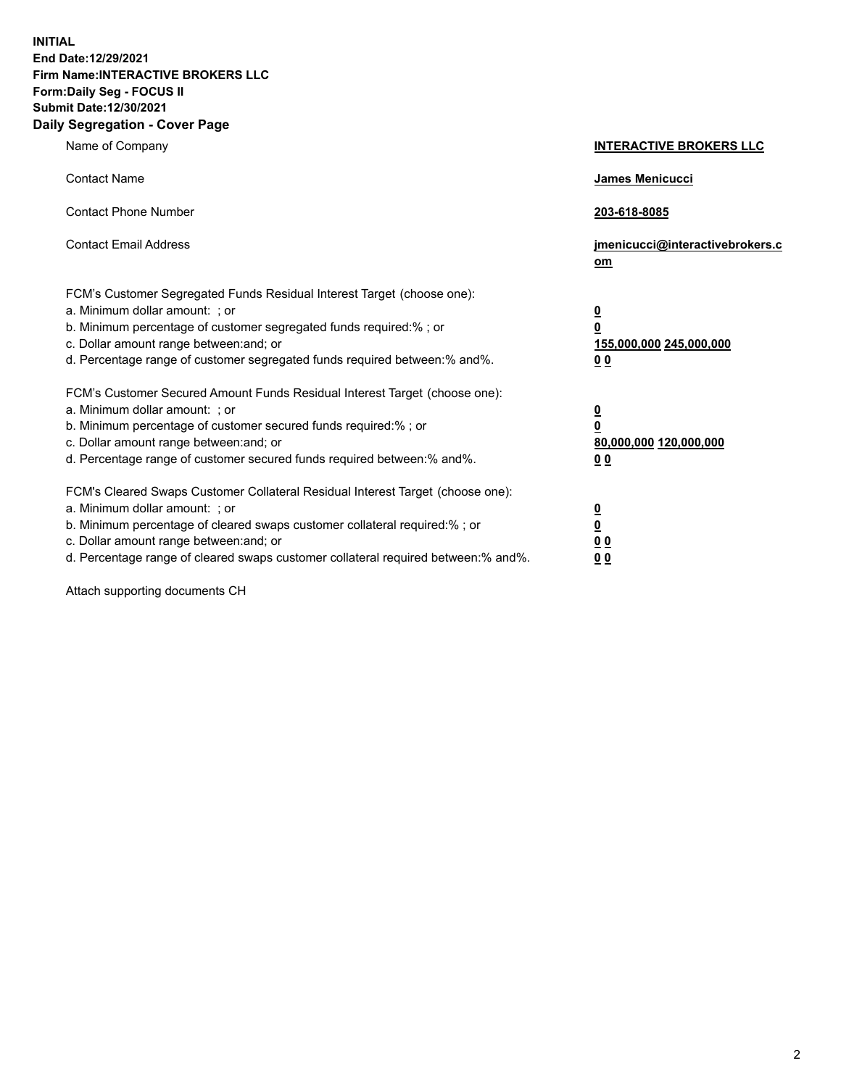**INITIAL End Date:12/29/2021 Firm Name:INTERACTIVE BROKERS LLC Form:Daily Seg - FOCUS II Submit Date:12/30/2021 Daily Segregation - Cover Page**

| Name of Company                                                                                                                                                                                                                                                                                                                | <b>INTERACTIVE BROKERS LLC</b>                                                                           |
|--------------------------------------------------------------------------------------------------------------------------------------------------------------------------------------------------------------------------------------------------------------------------------------------------------------------------------|----------------------------------------------------------------------------------------------------------|
| <b>Contact Name</b>                                                                                                                                                                                                                                                                                                            | James Menicucci                                                                                          |
| <b>Contact Phone Number</b>                                                                                                                                                                                                                                                                                                    | 203-618-8085                                                                                             |
| <b>Contact Email Address</b>                                                                                                                                                                                                                                                                                                   | jmenicucci@interactivebrokers.c<br>om                                                                    |
| FCM's Customer Segregated Funds Residual Interest Target (choose one):<br>a. Minimum dollar amount: ; or<br>b. Minimum percentage of customer segregated funds required:%; or<br>c. Dollar amount range between: and; or<br>d. Percentage range of customer segregated funds required between:% and%.                          | <u>0</u><br>$\overline{\mathbf{0}}$<br>155,000,000 245,000,000<br>0 <sub>0</sub>                         |
| FCM's Customer Secured Amount Funds Residual Interest Target (choose one):<br>a. Minimum dollar amount: ; or<br>b. Minimum percentage of customer secured funds required:%; or<br>c. Dollar amount range between: and; or<br>d. Percentage range of customer secured funds required between:% and%.                            | <u>0</u><br>$\overline{\mathbf{0}}$<br>80,000,000 120,000,000<br><u>00</u>                               |
| FCM's Cleared Swaps Customer Collateral Residual Interest Target (choose one):<br>a. Minimum dollar amount: ; or<br>b. Minimum percentage of cleared swaps customer collateral required:% ; or<br>c. Dollar amount range between: and; or<br>d. Percentage range of cleared swaps customer collateral required between:% and%. | $\overline{\mathbf{0}}$<br>$\underline{\mathbf{0}}$<br>$\underline{0}$ $\underline{0}$<br>0 <sub>0</sub> |

Attach supporting documents CH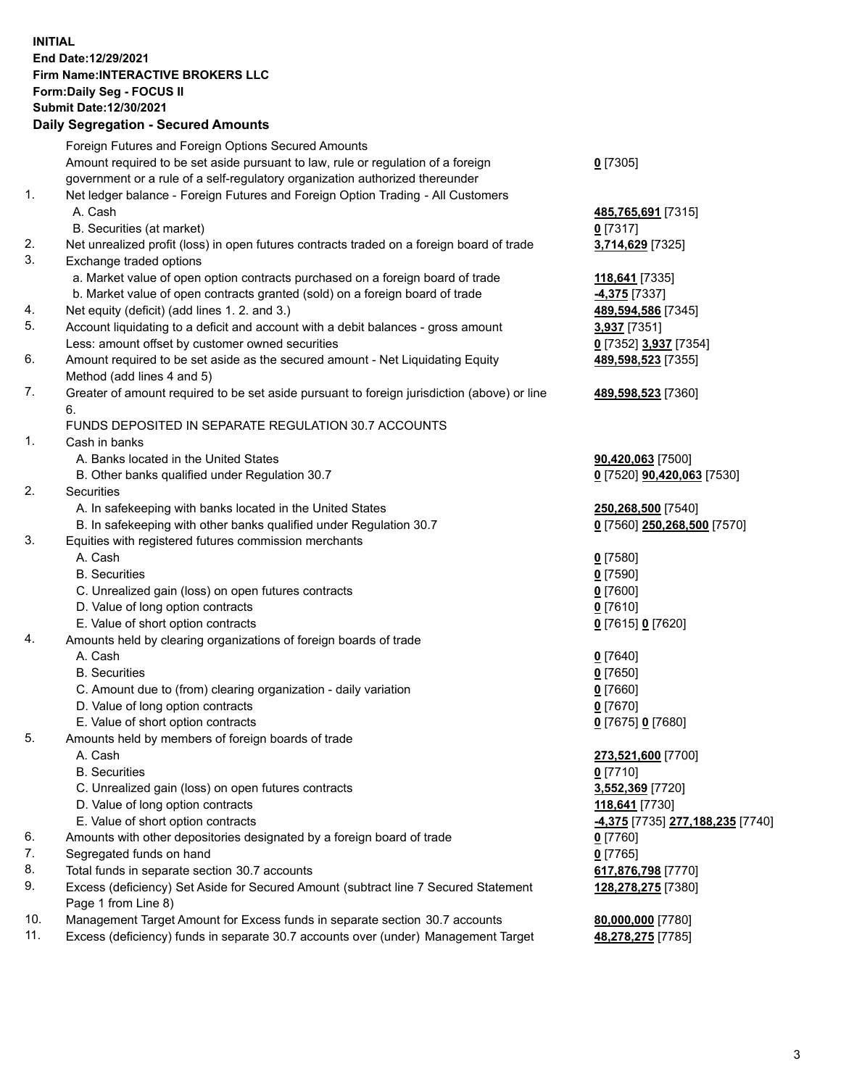**INITIAL End Date:12/29/2021 Firm Name:INTERACTIVE BROKERS LLC Form:Daily Seg - FOCUS II Submit Date:12/30/2021 Daily Segregation - Secured Amounts**

## Foreign Futures and Foreign Options Secured Amounts Amount required to be set aside pursuant to law, rule or regulation of a foreign government or a rule of a self-regulatory organization authorized thereunder **0** [7305] 1. Net ledger balance - Foreign Futures and Foreign Option Trading - All Customers A. Cash **485,765,691** [7315] B. Securities (at market) **0** [7317] 2. Net unrealized profit (loss) in open futures contracts traded on a foreign board of trade **3,714,629** [7325] 3. Exchange traded options a. Market value of open option contracts purchased on a foreign board of trade **118,641** [7335] b. Market value of open contracts granted (sold) on a foreign board of trade **-4,375** [7337] 4. Net equity (deficit) (add lines 1. 2. and 3.) **489,594,586** [7345] 5. Account liquidating to a deficit and account with a debit balances - gross amount **3,937** [7351] Less: amount offset by customer owned securities **0** [7352] **3,937** [7354] 6. Amount required to be set aside as the secured amount - Net Liquidating Equity Method (add lines 4 and 5) **489,598,523** [7355] 7. Greater of amount required to be set aside pursuant to foreign jurisdiction (above) or line 6. **489,598,523** [7360] FUNDS DEPOSITED IN SEPARATE REGULATION 30.7 ACCOUNTS 1. Cash in banks A. Banks located in the United States **90,420,063** [7500] B. Other banks qualified under Regulation 30.7 **0** [7520] **90,420,063** [7530] 2. Securities A. In safekeeping with banks located in the United States **250,268,500** [7540] B. In safekeeping with other banks qualified under Regulation 30.7 **0** [7560] **250,268,500** [7570] 3. Equities with registered futures commission merchants A. Cash **0** [7580] B. Securities **0** [7590] C. Unrealized gain (loss) on open futures contracts **0** [7600] D. Value of long option contracts **0** [7610] E. Value of short option contracts **0** [7615] **0** [7620] 4. Amounts held by clearing organizations of foreign boards of trade A. Cash **0** [7640] B. Securities **0** [7650] C. Amount due to (from) clearing organization - daily variation **0** [7660] D. Value of long option contracts **0** [7670] E. Value of short option contracts **0** [7675] **0** [7680] 5. Amounts held by members of foreign boards of trade A. Cash **273,521,600** [7700] B. Securities **0** [7710] C. Unrealized gain (loss) on open futures contracts **3,552,369** [7720] D. Value of long option contracts **118,641** [7730] E. Value of short option contracts **-4,375** [7735] **277,188,235** [7740] 6. Amounts with other depositories designated by a foreign board of trade **0** [7760] 7. Segregated funds on hand **0** [7765] 8. Total funds in separate section 30.7 accounts **617,876,798** [7770] 9. Excess (deficiency) Set Aside for Secured Amount (subtract line 7 Secured Statement Page 1 from Line 8) **128,278,275** [7380] 10. Management Target Amount for Excess funds in separate section 30.7 accounts **80,000,000** [7780] 11. Excess (deficiency) funds in separate 30.7 accounts over (under) Management Target **48,278,275** [7785]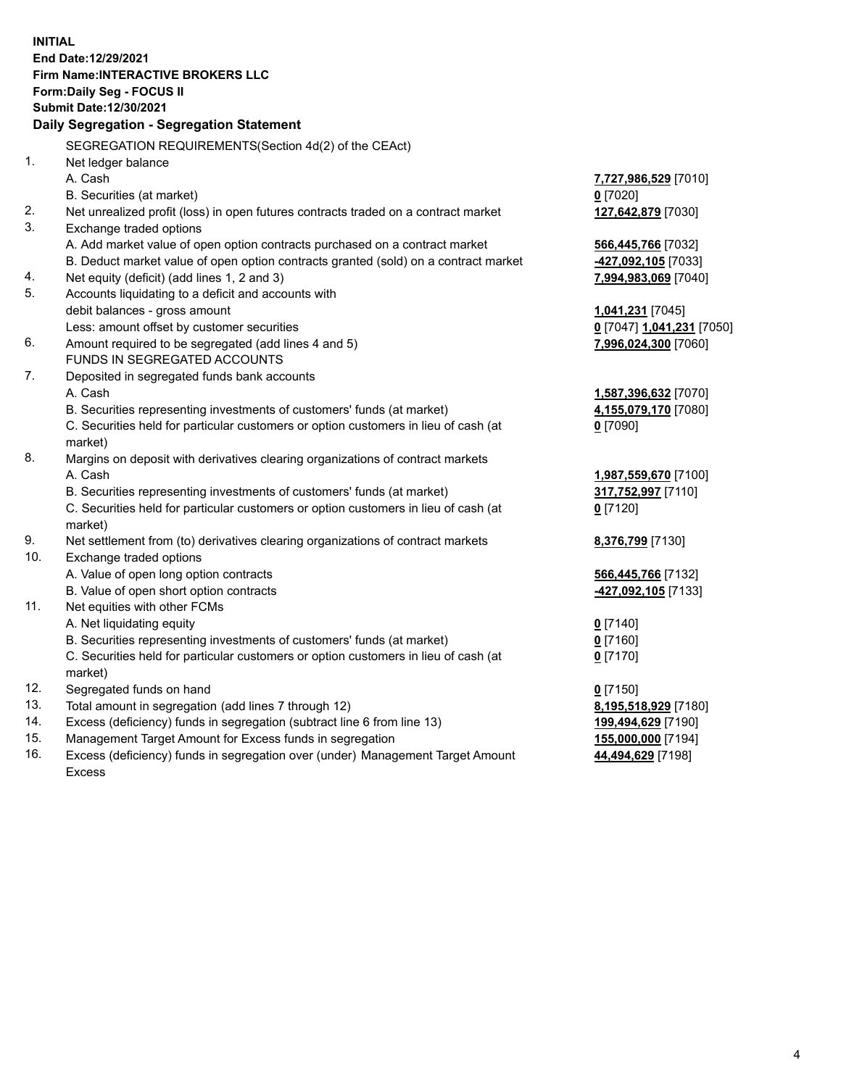**INITIAL End Date:12/29/2021 Firm Name:INTERACTIVE BROKERS LLC Form:Daily Seg - FOCUS II Submit Date:12/30/2021 Daily Segregation - Segregation Statement** SEGREGATION REQUIREMENTS(Section 4d(2) of the CEAct) 1. Net ledger balance A. Cash **7,727,986,529** [7010] B. Securities (at market) **0** [7020] 2. Net unrealized profit (loss) in open futures contracts traded on a contract market **127,642,879** [7030] 3. Exchange traded options A. Add market value of open option contracts purchased on a contract market **566,445,766** [7032] B. Deduct market value of open option contracts granted (sold) on a contract market **-427,092,105** [7033] 4. Net equity (deficit) (add lines 1, 2 and 3) **7,994,983,069** [7040] 5. Accounts liquidating to a deficit and accounts with debit balances - gross amount **1,041,231** [7045] Less: amount offset by customer securities **0** [7047] **1,041,231** [7050] 6. Amount required to be segregated (add lines 4 and 5) **7,996,024,300** [7060] FUNDS IN SEGREGATED ACCOUNTS 7. Deposited in segregated funds bank accounts A. Cash **1,587,396,632** [7070] B. Securities representing investments of customers' funds (at market) **4,155,079,170** [7080] C. Securities held for particular customers or option customers in lieu of cash (at market) **0** [7090] 8. Margins on deposit with derivatives clearing organizations of contract markets A. Cash **1,987,559,670** [7100] B. Securities representing investments of customers' funds (at market) **317,752,997** [7110] C. Securities held for particular customers or option customers in lieu of cash (at market) **0** [7120] 9. Net settlement from (to) derivatives clearing organizations of contract markets **8,376,799** [7130] 10. Exchange traded options A. Value of open long option contracts **566,445,766** [7132] B. Value of open short option contracts **-427,092,105** [7133] 11. Net equities with other FCMs A. Net liquidating equity **0** [7140] B. Securities representing investments of customers' funds (at market) **0** [7160] C. Securities held for particular customers or option customers in lieu of cash (at market) **0** [7170] 12. Segregated funds on hand **0** [7150] 13. Total amount in segregation (add lines 7 through 12) **8,195,518,929** [7180] 14. Excess (deficiency) funds in segregation (subtract line 6 from line 13) **199,494,629** [7190] 15. Management Target Amount for Excess funds in segregation **155,000,000** [7194]

16. Excess (deficiency) funds in segregation over (under) Management Target Amount Excess

**44,494,629** [7198]